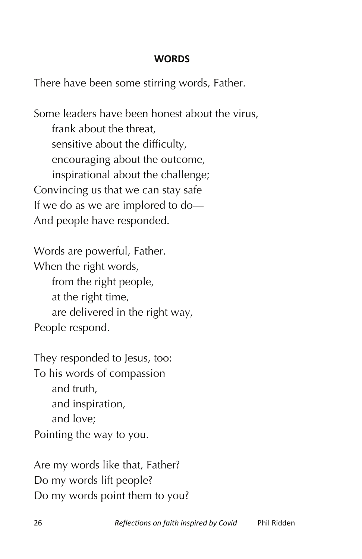## **WORDS**

There have been some stirring words, Father.

Some leaders have been honest about the virus, frank about the threat, sensitive about the difficulty, encouraging about the outcome, inspirational about the challenge; Convincing us that we can stay safe If we do as we are implored to do— And people have responded.

Words are powerful, Father. When the right words, from the right people, at the right time, are delivered in the right way, People respond.

They responded to Jesus, too: To his words of compassion and truth, and inspiration, and love; Pointing the way to you.

Are my words like that, Father? Do my words lift people? Do my words point them to you?